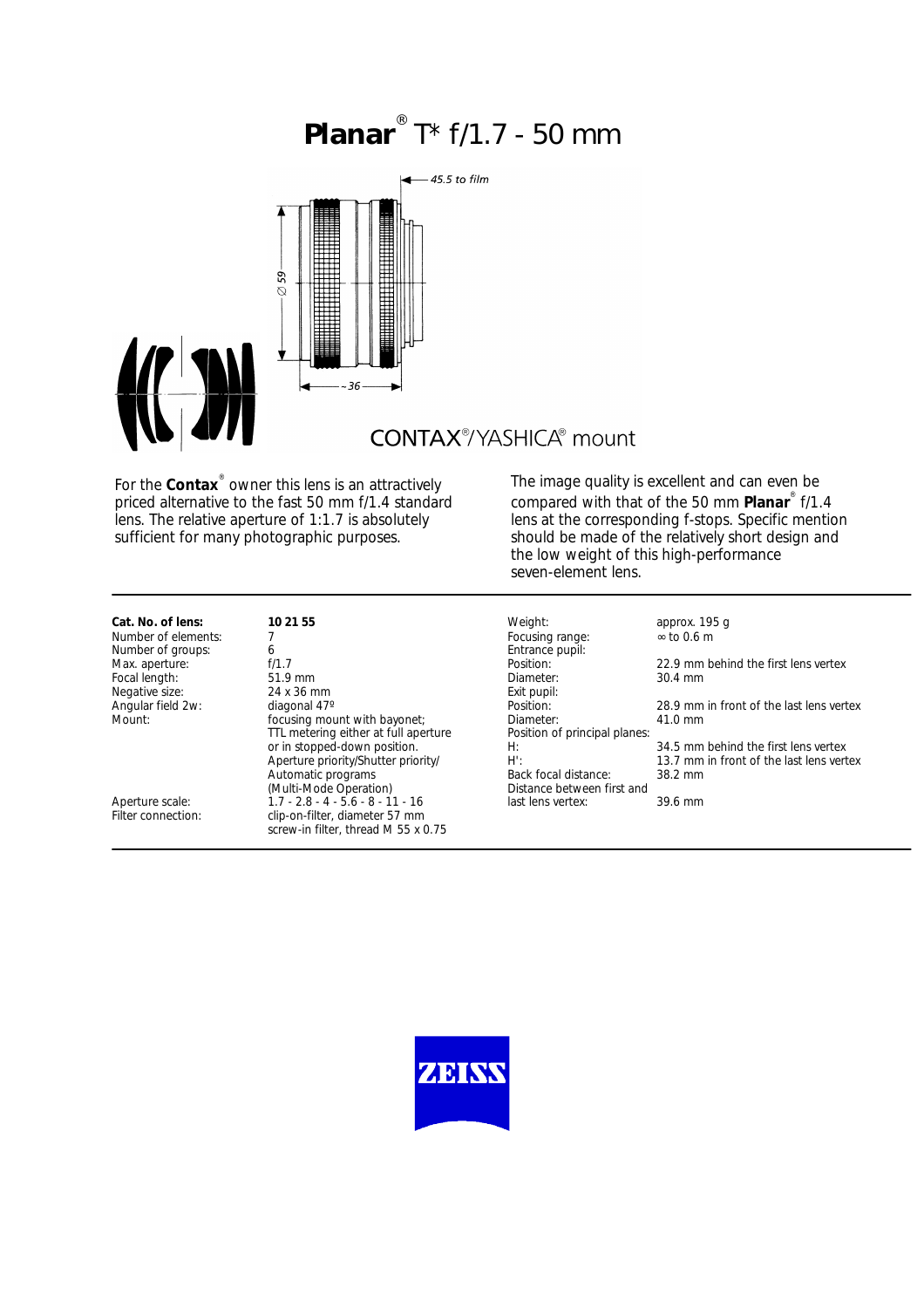## **Planar** ® T\* f/1.7 - 50 mm



## **CONTAX®YASHICA®** mount

For the **Contax**® owner this lens is an attractively priced alternative to the fast 50 mm f/1.4 standard lens. The relative aperture of 1:1.7 is absolutely sufficient for many photographic purposes.

The image quality is excellent and can even be compared with that of the 50 mm **Planar**® f/1.4 lens at the corresponding f-stops. Specific mention should be made of the relatively short design and the low weight of this high-performance seven-element lens.

# Number of elements: 7<br>Number of groups: 7 6 metals of 0.6 metals of 0.6 metals focusing range: 6 metals of 0.6 metals of 0.6 metals focusing range: 1.6 metals of 0.6 metals of 0.6 metals of 0.6 metals of 0.6 metals of 0.6 Focal length:

Number of groups:  $\begin{array}{ccc} 6 & 6 \end{array}$  Entrance Pupils: Entrance pupils:  $\begin{array}{ccc} 6 & 6 \end{array}$  Position: f/1.7 **Position:** Position: <sup>1</sup> approximate the first lens vertex<br>
22.9 mm behind the first lens vertex<br>
23.4 mm Negative size: 24 x 36 mm<br>
Angular field 2w: diagonal 47°<br>
Position: focusing mount with bayonet;<br>TTL metering either at full aperture entity Position of principal planes: TTL metering either at full aperture or in stopped-down position. Aperture priority/Shutter priority/ Automatic programs Back focal distance: 38.2 mm<br>
(Multi-Mode Operation) Bistance between first and Aperture scale:<br>
1.7 - 2.8 - 4 - 5.6 - 8 - 11 - 16 last lens vertex: 39.6 mm<br>
Filter connection: clip-on-filter, diameter 57 mm clip-on-filter, diameter 57 mm screw-in filter, thread M 55 x 0.75

**Cat. No. of lens: 10 21 55** Weight: **10 21 55** Weight: **approx. 195 g**<br>Number of elements: 7 Focusing range: ∞ to 0.6 m Distance between first and<br>last lens vertex:

Angular field 2w: diagonal 47° <br>
Mount: 28.9 mm in front of the last lens vertex<br>
Mount: 28.9 mm in front of the last lens vertex<br>
Mount: 28.9 mm in front of the last lens vertex

H: 34.5 mm behind the first lens vertex<br>H: 3.7 mm in front of the last lens vertex